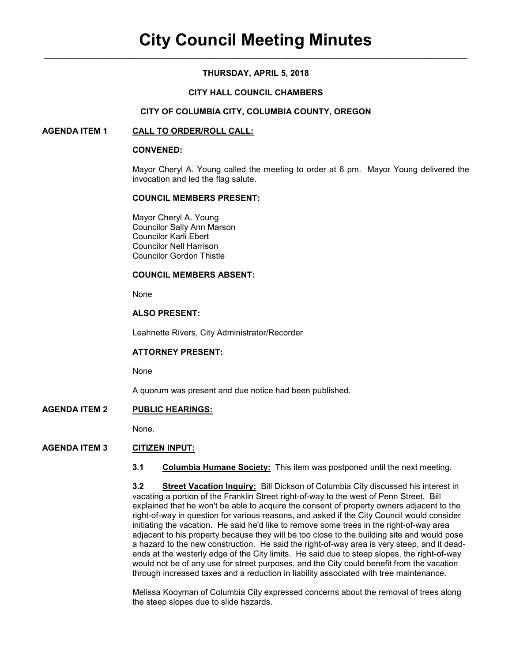# **THURSDAY, APRIL 5, 2018**

## **CITY HALL COUNCIL CHAMBERS**

#### **CITY OF COLUMBIA CITY, COLUMBIA COUNTY, OREGON**

## **AGENDA ITEM 1 CALL TO ORDER/ROLL CALL:**

#### **CONVENED:**

Mayor Cheryl A. Young called the meeting to order at 6 pm. Mayor Young delivered the invocation and led the flag salute.

#### **COUNCIL MEMBERS PRESENT:**

 Mayor Cheryl A. Young Councilor Sally Ann Marson Councilor Karli Ebert Councilor Nell Harrison Councilor Gordon Thistle

#### **COUNCIL MEMBERS ABSENT:**

None

## **ALSO PRESENT:**

Leahnette Rivers, City Administrator/Recorder

#### **ATTORNEY PRESENT:**

None

A quorum was present and due notice had been published.

## **AGENDA ITEM 2 PUBLIC HEARINGS:**

None.

# **AGENDA ITEM 3 CITIZEN INPUT:**

**3.1 Columbia Humane Society:** This item was postponed until the next meeting.

**3.2 Street Vacation Inquiry:** Bill Dickson of Columbia City discussed his interest in vacating a portion of the Franklin Street right-of-way to the west of Penn Street. Bill explained that he won't be able to acquire the consent of property owners adjacent to the right-of-way in question for various reasons, and asked if the City Council would consider initiating the vacation. He said he'd like to remove some trees in the right-of-way area adjacent to his property because they will be too close to the building site and would pose a hazard to the new construction. He said the right-of-way area is very steep, and it deadends at the westerly edge of the City limits. He said due to steep slopes, the right-of-way would not be of any use for street purposes, and the City could benefit from the vacation through increased taxes and a reduction in liability associated with tree maintenance.

Melissa Kooyman of Columbia City expressed concerns about the removal of trees along the steep slopes due to slide hazards.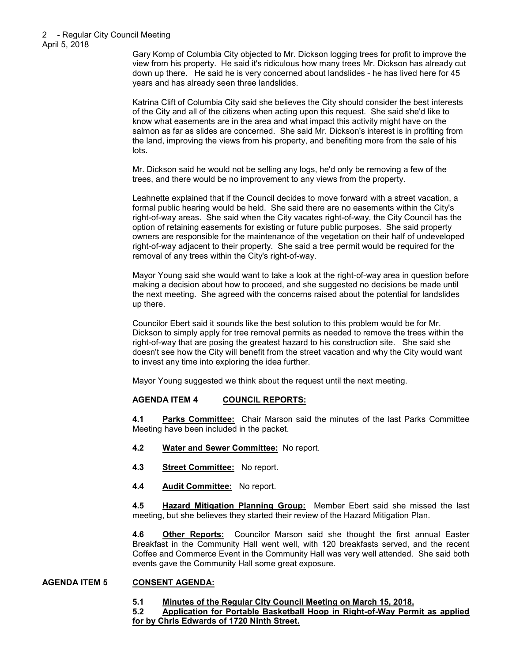Gary Komp of Columbia City objected to Mr. Dickson logging trees for profit to improve the view from his property. He said it's ridiculous how many trees Mr. Dickson has already cut down up there. He said he is very concerned about landslides - he has lived here for 45 years and has already seen three landslides.

Katrina Clift of Columbia City said she believes the City should consider the best interests of the City and all of the citizens when acting upon this request. She said she'd like to know what easements are in the area and what impact this activity might have on the salmon as far as slides are concerned. She said Mr. Dickson's interest is in profiting from the land, improving the views from his property, and benefiting more from the sale of his lots.

Mr. Dickson said he would not be selling any logs, he'd only be removing a few of the trees, and there would be no improvement to any views from the property.

Leahnette explained that if the Council decides to move forward with a street vacation, a formal public hearing would be held. She said there are no easements within the City's right-of-way areas. She said when the City vacates right-of-way, the City Council has the option of retaining easements for existing or future public purposes. She said property owners are responsible for the maintenance of the vegetation on their half of undeveloped right-of-way adjacent to their property. She said a tree permit would be required for the removal of any trees within the City's right-of-way.

Mayor Young said she would want to take a look at the right-of-way area in question before making a decision about how to proceed, and she suggested no decisions be made until the next meeting. She agreed with the concerns raised about the potential for landslides up there.

Councilor Ebert said it sounds like the best solution to this problem would be for Mr. Dickson to simply apply for tree removal permits as needed to remove the trees within the right-of-way that are posing the greatest hazard to his construction site. She said she doesn't see how the City will benefit from the street vacation and why the City would want to invest any time into exploring the idea further.

Mayor Young suggested we think about the request until the next meeting.

# **AGENDA ITEM 4 COUNCIL REPORTS:**

**4.1 Parks Committee:** Chair Marson said the minutes of the last Parks Committee Meeting have been included in the packet.

- **4.2 Water and Sewer Committee:** No report.
- **4.3 Street Committee:** No report.
- **4.4 Audit Committee:** No report.

**4.5 Hazard Mitigation Planning Group:** Member Ebert said she missed the last meeting, but she believes they started their review of the Hazard Mitigation Plan.

**4.6 Other Reports:** Councilor Marson said she thought the first annual Easter Breakfast in the Community Hall went well, with 120 breakfasts served, and the recent Coffee and Commerce Event in the Community Hall was very well attended. She said both events gave the Community Hall some great exposure.

#### **AGENDA ITEM 5 CONSENT AGENDA:**

# **5.1 Minutes of the Regular City Council Meeting on March 15, 2018.**

#### **5.2 Application for Portable Basketball Hoop in Right-of-Way Permit as applied for by Chris Edwards of 1720 Ninth Street.**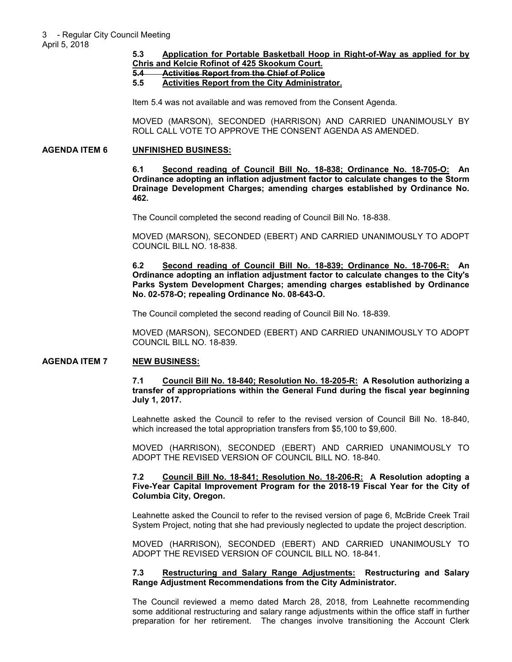# **5.3 Application for Portable Basketball Hoop in Right-of-Way as applied for by**

**Chris and Kelcie Rofinot of 425 Skookum Court. 5.4 Activities Report from the Chief of Police**

## **5.5 Activities Report from the City Administrator.**

Item 5.4 was not available and was removed from the Consent Agenda.

MOVED (MARSON), SECONDED (HARRISON) AND CARRIED UNANIMOUSLY BY ROLL CALL VOTE TO APPROVE THE CONSENT AGENDA AS AMENDED.

#### **AGENDA ITEM 6 UNFINISHED BUSINESS:**

**6.1 Second reading of Council Bill No. 18-838; Ordinance No. 18-705-O: An Ordinance adopting an inflation adjustment factor to calculate changes to the Storm Drainage Development Charges; amending charges established by Ordinance No. 462.** 

The Council completed the second reading of Council Bill No. 18-838.

MOVED (MARSON), SECONDED (EBERT) AND CARRIED UNANIMOUSLY TO ADOPT COUNCIL BILL NO. 18-838.

**6.2 Second reading of Council Bill No. 18-839; Ordinance No. 18-706-R: An Ordinance adopting an inflation adjustment factor to calculate changes to the City's Parks System Development Charges; amending charges established by Ordinance No. 02-578-O; repealing Ordinance No. 08-643-O.** 

The Council completed the second reading of Council Bill No. 18-839.

MOVED (MARSON), SECONDED (EBERT) AND CARRIED UNANIMOUSLY TO ADOPT COUNCIL BILL NO. 18-839.

#### **AGENDA ITEM 7 NEW BUSINESS:**

**7.1 Council Bill No. 18-840; Resolution No. 18-205-R: A Resolution authorizing a transfer of appropriations within the General Fund during the fiscal year beginning July 1, 2017.** 

Leahnette asked the Council to refer to the revised version of Council Bill No. 18-840, which increased the total appropriation transfers from \$5,100 to \$9,600.

MOVED (HARRISON), SECONDED (EBERT) AND CARRIED UNANIMOUSLY TO ADOPT THE REVISED VERSION OF COUNCIL BILL NO. 18-840.

**7.2 Council Bill No. 18-841; Resolution No. 18-206-R: A Resolution adopting a Five-Year Capital Improvement Program for the 2018-19 Fiscal Year for the City of Columbia City, Oregon.** 

Leahnette asked the Council to refer to the revised version of page 6, McBride Creek Trail System Project, noting that she had previously neglected to update the project description.

MOVED (HARRISON), SECONDED (EBERT) AND CARRIED UNANIMOUSLY TO ADOPT THE REVISED VERSION OF COUNCIL BILL NO. 18-841.

#### **7.3 Restructuring and Salary Range Adjustments: Restructuring and Salary Range Adjustment Recommendations from the City Administrator.**

The Council reviewed a memo dated March 28, 2018, from Leahnette recommending some additional restructuring and salary range adjustments within the office staff in further preparation for her retirement. The changes involve transitioning the Account Clerk